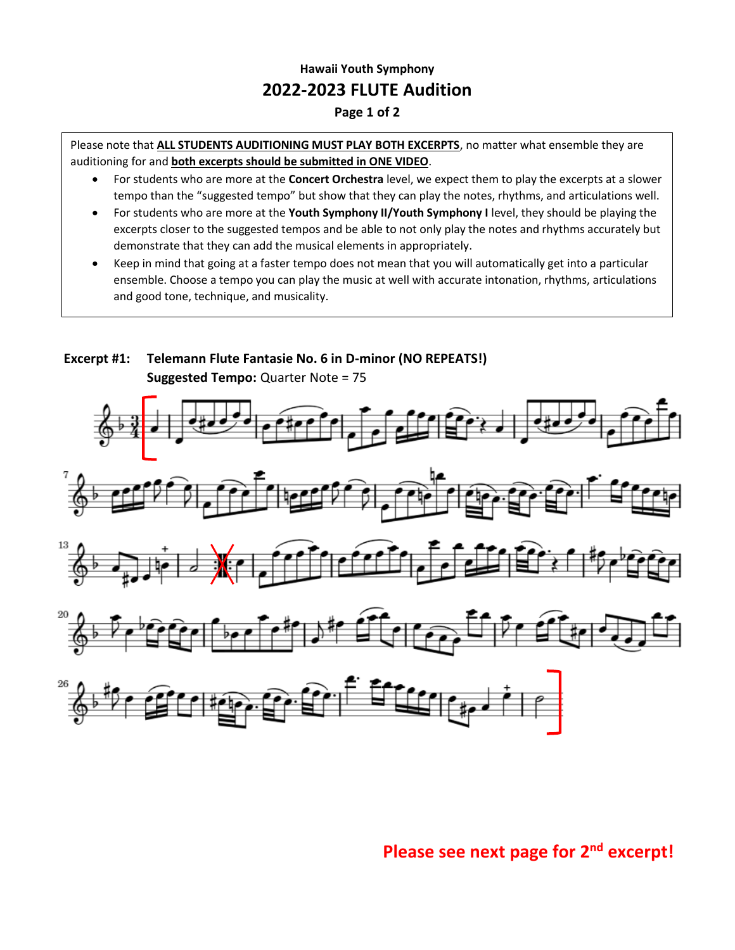## **Hawaii Youth Symphony 2022-2023 FLUTE Audition**

## **Page 1 of 2**

Please note that **ALL STUDENTS AUDITIONING MUST PLAY BOTH EXCERPTS**, no matter what ensemble they are auditioning for and **both excerpts should be submitted in ONE VIDEO**.

- For students who are more at the **Concert Orchestra** level, we expect them to play the excerpts at a slower tempo than the "suggested tempo" but show that they can play the notes, rhythms, and articulations well.
- For students who are more at the **Youth Symphony II/Youth Symphony I** level, they should be playing the excerpts closer to the suggested tempos and be able to not only play the notes and rhythms accurately but demonstrate that they can add the musical elements in appropriately.
- and good tone, technique, and musicality.<br> • Keep in mind that going at a faster tempo does not mean that you will automatically get into a particular ensemble. Choose a tempo you can play the music at well with accurate intonation, rhythms, articulations



## **Please see next page for 2nd excerpt!**